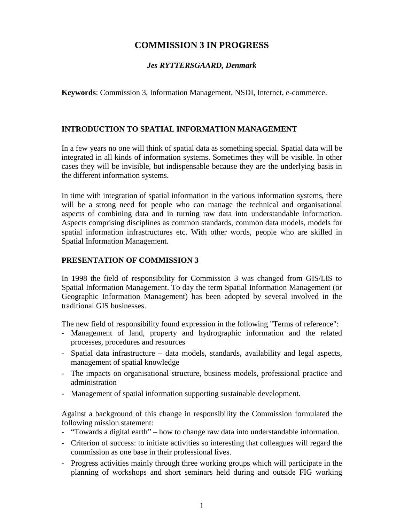# **COMMISSION 3 IN PROGRESS**

# *Jes RYTTERSGAARD, Denmark*

**Keywords**: Commission 3, Information Management, NSDI, Internet, e-commerce.

### **INTRODUCTION TO SPATIAL INFORMATION MANAGEMENT**

In a few years no one will think of spatial data as something special. Spatial data will be integrated in all kinds of information systems. Sometimes they will be visible. In other cases they will be invisible, but indispensable because they are the underlying basis in the different information systems.

In time with integration of spatial information in the various information systems, there will be a strong need for people who can manage the technical and organisational aspects of combining data and in turning raw data into understandable information. Aspects comprising disciplines as common standards, common data models, models for spatial information infrastructures etc. With other words, people who are skilled in Spatial Information Management.

#### **PRESENTATION OF COMMISSION 3**

In 1998 the field of responsibility for Commission 3 was changed from GIS/LIS to Spatial Information Management. To day the term Spatial Information Management (or Geographic Information Management) has been adopted by several involved in the traditional GIS businesses.

The new field of responsibility found expression in the following "Terms of reference":

- Management of land, property and hydrographic information and the related processes, procedures and resources
- Spatial data infrastructure data models, standards, availability and legal aspects, management of spatial knowledge
- The impacts on organisational structure, business models, professional practice and administration
- Management of spatial information supporting sustainable development.

Against a background of this change in responsibility the Commission formulated the following mission statement:

- "Towards a digital earth" how to change raw data into understandable information.
- Criterion of success: to initiate activities so interesting that colleagues will regard the commission as one base in their professional lives.
- Progress activities mainly through three working groups which will participate in the planning of workshops and short seminars held during and outside FIG working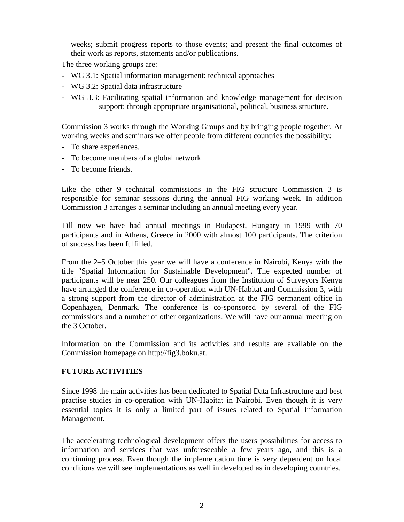weeks; submit progress reports to those events; and present the final outcomes of their work as reports, statements and/or publications.

The three working groups are:

- WG 3.1: Spatial information management: technical approaches
- WG 3.2: Spatial data infrastructure
- WG 3.3: Facilitating spatial information and knowledge management for decision support: through appropriate organisational, political, business structure.

Commission 3 works through the Working Groups and by bringing people together. At working weeks and seminars we offer people from different countries the possibility:

- To share experiences.
- To become members of a global network.
- To become friends.

Like the other 9 technical commissions in the FIG structure Commission 3 is responsible for seminar sessions during the annual FIG working week. In addition Commission 3 arranges a seminar including an annual meeting every year.

Till now we have had annual meetings in Budapest, Hungary in 1999 with 70 participants and in Athens, Greece in 2000 with almost 100 participants. The criterion of success has been fulfilled.

From the 2–5 October this year we will have a conference in Nairobi, Kenya with the title "Spatial Information for Sustainable Development". The expected number of participants will be near 250. Our colleagues from the Institution of Surveyors Kenya have arranged the conference in co-operation with UN-Habitat and Commission 3, with a strong support from the director of administration at the FIG permanent office in Copenhagen, Denmark. The conference is co-sponsored by several of the FIG commissions and a number of other organizations. We will have our annual meeting on the 3 October.

Information on the Commission and its activities and results are available on the Commission homepage on http://fig3.boku.at.

#### **FUTURE ACTIVITIES**

Since 1998 the main activities has been dedicated to Spatial Data Infrastructure and best practise studies in co-operation with UN-Habitat in Nairobi. Even though it is very essential topics it is only a limited part of issues related to Spatial Information Management.

The accelerating technological development offers the users possibilities for access to information and services that was unforeseeable a few years ago, and this is a continuing process. Even though the implementation time is very dependent on local conditions we will see implementations as well in developed as in developing countries.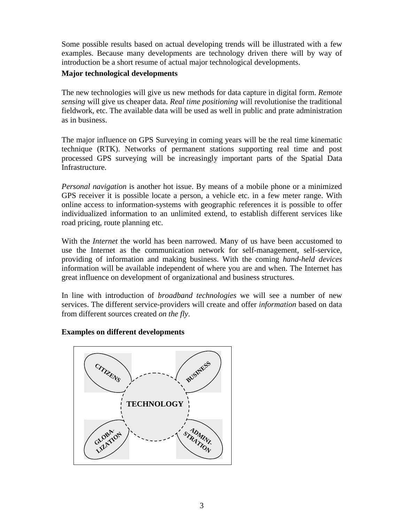Some possible results based on actual developing trends will be illustrated with a few examples. Because many developments are technology driven there will by way of introduction be a short resume of actual major technological developments.

### **Major technological developments**

The new technologies will give us new methods for data capture in digital form. *Remote sensing* will give us cheaper data. *Real time positioning* will revolutionise the traditional fieldwork, etc. The available data will be used as well in public and prate administration as in business.

The major influence on GPS Surveying in coming years will be the real time kinematic technique (RTK). Networks of permanent stations supporting real time and post processed GPS surveying will be increasingly important parts of the Spatial Data Infrastructure.

*Personal navigation* is another hot issue. By means of a mobile phone or a minimized GPS receiver it is possible locate a person, a vehicle etc. in a few meter range. With online access to information-systems with geographic references it is possible to offer individualized information to an unlimited extend, to establish different services like road pricing, route planning etc.

With the *Internet* the world has been narrowed. Many of us have been accustomed to use the Internet as the communication network for self-management, self-service, providing of information and making business. With the coming *hand-held devices* information will be available independent of where you are and when. The Internet has great influence on development of organizational and business structures.

In line with introduction of *broadband technologies* we will see a number of new services. The different service-providers will create and offer *information* based on data from different sources created *on the fly*.

# **Examples on different developments**

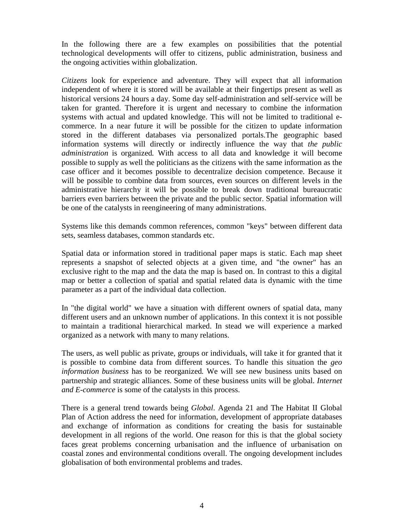In the following there are a few examples on possibilities that the potential technological developments will offer to citizens, public administration, business and the ongoing activities within globalization.

*Citizens* look for experience and adventure. They will expect that all information independent of where it is stored will be available at their fingertips present as well as historical versions 24 hours a day. Some day self-administration and self-service will be taken for granted. Therefore it is urgent and necessary to combine the information systems with actual and updated knowledge. This will not be limited to traditional ecommerce. In a near future it will be possible for the citizen to update information stored in the different databases via personalized portals.The geographic based information systems will directly or indirectly influence the way that *the public administration* is organized*.* With access to all data and knowledge it will become possible to supply as well the politicians as the citizens with the same information as the case officer and it becomes possible to decentralize decision competence. Because it will be possible to combine data from sources, even sources on different levels in the administrative hierarchy it will be possible to break down traditional bureaucratic barriers even barriers between the private and the public sector. Spatial information will be one of the catalysts in reengineering of many administrations.

Systems like this demands common references, common "keys" between different data sets, seamless databases, common standards etc.

Spatial data or information stored in traditional paper maps is static. Each map sheet represents a snapshot of selected objects at a given time, and "the owner" has an exclusive right to the map and the data the map is based on. In contrast to this a digital map or better a collection of spatial and spatial related data is dynamic with the time parameter as a part of the individual data collection.

In "the digital world" we have a situation with different owners of spatial data, many different users and an unknown number of applications. In this context it is not possible to maintain a traditional hierarchical marked. In stead we will experience a marked organized as a network with many to many relations.

The users, as well public as private, groups or individuals, will take it for granted that it is possible to combine data from different sources. To handle this situation the *geo information business* has to be reorganized*.* We will see new business units based on partnership and strategic alliances. Some of these business units will be global. *Internet and E-commerce* is some of the catalysts in this process.

There is a general trend towards being *Global*. Agenda 21 and The Habitat II Global Plan of Action address the need for information, development of appropriate databases and exchange of information as conditions for creating the basis for sustainable development in all regions of the world. One reason for this is that the global society faces great problems concerning urbanisation and the influence of urbanisation on coastal zones and environmental conditions overall. The ongoing development includes globalisation of both environmental problems and trades.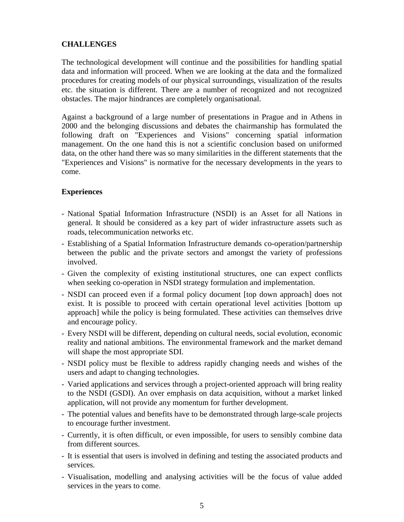# **CHALLENGES**

The technological development will continue and the possibilities for handling spatial data and information will proceed. When we are looking at the data and the formalized procedures for creating models of our physical surroundings, visualization of the results etc. the situation is different. There are a number of recognized and not recognized obstacles. The major hindrances are completely organisational.

Against a background of a large number of presentations in Prague and in Athens in 2000 and the belonging discussions and debates the chairmanship has formulated the following draft on "Experiences and Visions" concerning spatial information management. On the one hand this is not a scientific conclusion based on uniformed data, on the other hand there was so many similarities in the different statements that the "Experiences and Visions" is normative for the necessary developments in the years to come.

### **Experiences**

- National Spatial Information Infrastructure (NSDI) is an Asset for all Nations in general. It should be considered as a key part of wider infrastructure assets such as roads, telecommunication networks etc.
- Establishing of a Spatial Information Infrastructure demands co-operation/partnership between the public and the private sectors and amongst the variety of professions involved.
- Given the complexity of existing institutional structures, one can expect conflicts when seeking co-operation in NSDI strategy formulation and implementation.
- NSDI can proceed even if a formal policy document [top down approach] does not exist. It is possible to proceed with certain operational level activities [bottom up approach] while the policy is being formulated. These activities can themselves drive and encourage policy.
- Every NSDI will be different, depending on cultural needs, social evolution, economic reality and national ambitions. The environmental framework and the market demand will shape the most appropriate SDI.
- NSDI policy must be flexible to address rapidly changing needs and wishes of the users and adapt to changing technologies.
- Varied applications and services through a project-oriented approach will bring reality to the NSDI (GSDI). An over emphasis on data acquisition, without a market linked application, will not provide any momentum for further development.
- The potential values and benefits have to be demonstrated through large-scale projects to encourage further investment.
- Currently, it is often difficult, or even impossible, for users to sensibly combine data from different sources.
- It is essential that users is involved in defining and testing the associated products and services.
- Visualisation, modelling and analysing activities will be the focus of value added services in the years to come.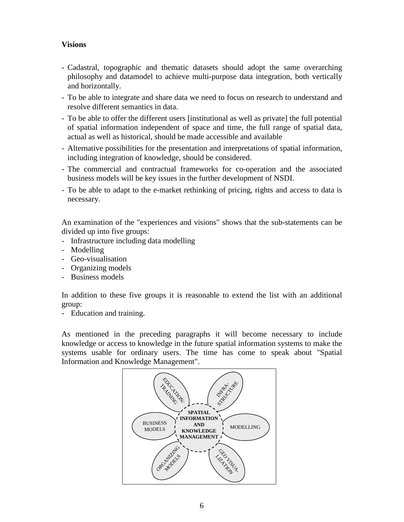# **Visions**

- Cadastral, topographic and thematic datasets should adopt the same overarching philosophy and datamodel to achieve multi-purpose data integration, both vertically and horizontally.
- To be able to integrate and share data we need to focus on research to understand and resolve different semantics in data.
- To be able to offer the different users [institutional as well as private] the full potential of spatial information independent of space and time, the full range of spatial data, actual as well as historical, should be made accessible and available
- Alternative possibilities for the presentation and interpretations of spatial information, including integration of knowledge, should be considered.
- The commercial and contractual frameworks for co-operation and the associated business models will be key issues in the further development of NSDI.
- To be able to adapt to the e-market rethinking of pricing, rights and access to data is necessary.

An examination of the "experiences and visions" shows that the sub-statements can be divided up into five groups:

- Infrastructure including data modelling
- Modelling
- Geo-visualisation
- Organizing models
- Business models

In addition to these five groups it is reasonable to extend the list with an additional group:

- Education and training.

As mentioned in the preceding paragraphs it will become necessary to include knowledge or access to knowledge in the future spatial information systems to make the systems usable for ordinary users. The time has come to speak about "Spatial Information and Knowledge Management".

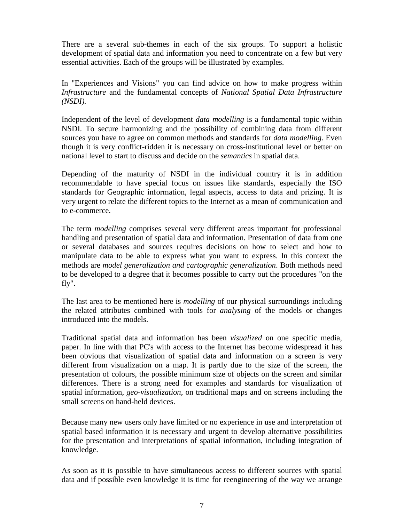There are a several sub-themes in each of the six groups. To support a holistic development of spatial data and information you need to concentrate on a few but very essential activities. Each of the groups will be illustrated by examples.

In "Experiences and Visions" you can find advice on how to make progress within *Infrastructure* and the fundamental concepts of *National Spatial Data Infrastructure (NSDI).*

Independent of the level of development *data modelling* is a fundamental topic within NSDI. To secure harmonizing and the possibility of combining data from different sources you have to agree on common methods and standards for *data modelling*. Even though it is very conflict-ridden it is necessary on cross-institutional level or better on national level to start to discuss and decide on the *semantics* in spatial data.

Depending of the maturity of NSDI in the individual country it is in addition recommendable to have special focus on issues like standards, especially the ISO standards for Geographic information, legal aspects, access to data and prizing. It is very urgent to relate the different topics to the Internet as a mean of communication and to e-commerce.

The term *modelling* comprises several very different areas important for professional handling and presentation of spatial data and information. Presentation of data from one or several databases and sources requires decisions on how to select and how to manipulate data to be able to express what you want to express. In this context the methods are *model generalization and cartographic generalization*. Both methods need to be developed to a degree that it becomes possible to carry out the procedures "on the fly".

The last area to be mentioned here is *modelling* of our physical surroundings including the related attributes combined with tools for *analysing* of the models or changes introduced into the models.

Traditional spatial data and information has been *visualized* on one specific media, paper. In line with that PC's with access to the Internet has become widespread it has been obvious that visualization of spatial data and information on a screen is very different from visualization on a map. It is partly due to the size of the screen, the presentation of colours, the possible minimum size of objects on the screen and similar differences. There is a strong need for examples and standards for visualization of spatial information, *geo-visualization*, on traditional maps and on screens including the small screens on hand-held devices.

Because many new users only have limited or no experience in use and interpretation of spatial based information it is necessary and urgent to develop alternative possibilities for the presentation and interpretations of spatial information, including integration of knowledge.

As soon as it is possible to have simultaneous access to different sources with spatial data and if possible even knowledge it is time for reengineering of the way we arrange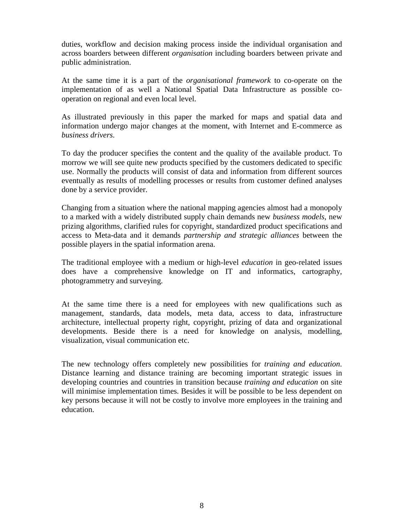duties, workflow and decision making process inside the individual organisation and across boarders between different *organisation* including boarders between private and public administration.

At the same time it is a part of the *organisational framework* to co-operate on the implementation of as well a National Spatial Data Infrastructure as possible cooperation on regional and even local level.

As illustrated previously in this paper the marked for maps and spatial data and information undergo major changes at the moment, with Internet and E-commerce as *business drivers*.

To day the producer specifies the content and the quality of the available product. To morrow we will see quite new products specified by the customers dedicated to specific use. Normally the products will consist of data and information from different sources eventually as results of modelling processes or results from customer defined analyses done by a service provider.

Changing from a situation where the national mapping agencies almost had a monopoly to a marked with a widely distributed supply chain demands new *business models*, new prizing algorithms, clarified rules for copyright, standardized product specifications and access to Meta-data and it demands *partnership and strategic alliances* between the possible players in the spatial information arena.

The traditional employee with a medium or high-level *education* in geo-related issues does have a comprehensive knowledge on IT and informatics, cartography, photogrammetry and surveying.

At the same time there is a need for employees with new qualifications such as management, standards, data models, meta data, access to data, infrastructure architecture, intellectual property right, copyright, prizing of data and organizational developments. Beside there is a need for knowledge on analysis, modelling, visualization, visual communication etc.

The new technology offers completely new possibilities for *training and education*. Distance learning and distance training are becoming important strategic issues in developing countries and countries in transition because *training and education* on site will minimise implementation times. Besides it will be possible to be less dependent on key persons because it will not be costly to involve more employees in the training and education.